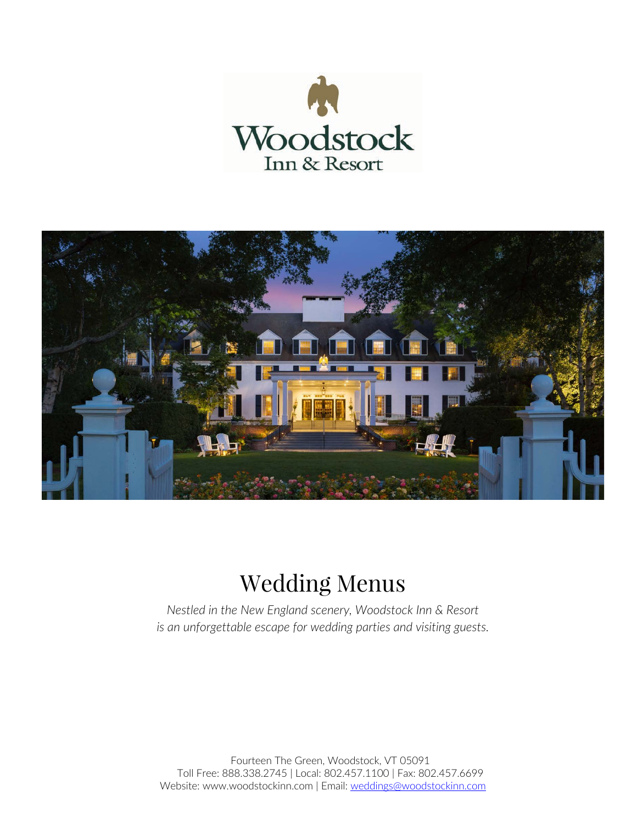



# Wedding Menus

*Nestled in the New England scenery, Woodstock Inn & Resort is an unforgettable escape for wedding parties and visiting guests.*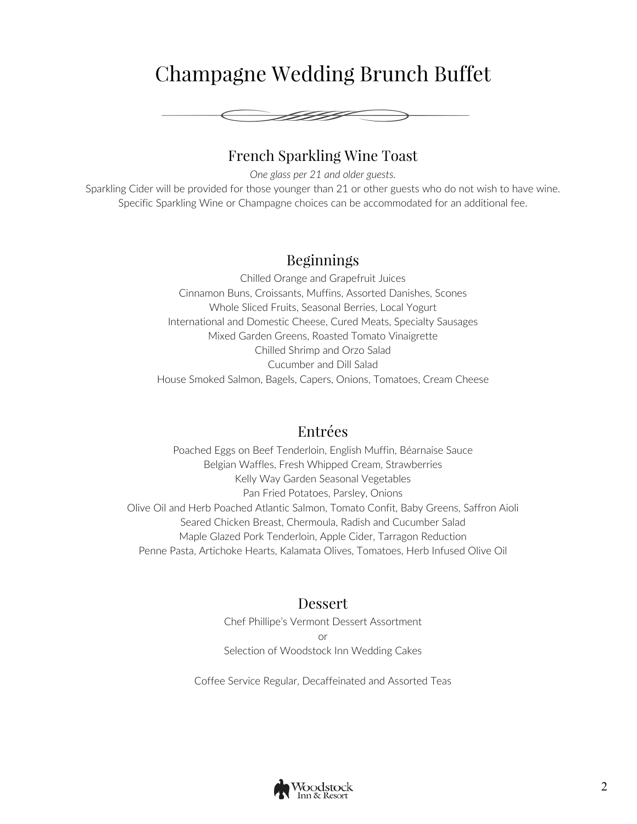## Champagne Wedding Brunch Buffet



## French Sparkling Wine Toast

*One glass per 21 and older guests.* Sparkling Cider will be provided for those younger than 21 or other guests who do not wish to have wine. Specific Sparkling Wine or Champagne choices can be accommodated for an additional fee.

## Beginnings

Chilled Orange and Grapefruit Juices Cinnamon Buns, Croissants, Muffins, Assorted Danishes, Scones Whole Sliced Fruits, Seasonal Berries, Local Yogurt International and Domestic Cheese, Cured Meats, Specialty Sausages Mixed Garden Greens, Roasted Tomato Vinaigrette Chilled Shrimp and Orzo Salad Cucumber and Dill Salad House Smoked Salmon, Bagels, Capers, Onions, Tomatoes, Cream Cheese

### Entrées

Poached Eggs on Beef Tenderloin, English Muffin, Béarnaise Sauce Belgian Waffles, Fresh Whipped Cream, Strawberries Kelly Way Garden Seasonal Vegetables Pan Fried Potatoes, Parsley, Onions Olive Oil and Herb Poached Atlantic Salmon, Tomato Confit, Baby Greens, Saffron Aioli Seared Chicken Breast, Chermoula, Radish and Cucumber Salad Maple Glazed Pork Tenderloin, Apple Cider, Tarragon Reduction Penne Pasta, Artichoke Hearts, Kalamata Olives, Tomatoes, Herb Infused Olive Oil

## Dessert

Chef Phillipe's Vermont Dessert Assortment or Selection of Woodstock Inn Wedding Cakes

Coffee Service Regular, Decaffeinated and Assorted Teas

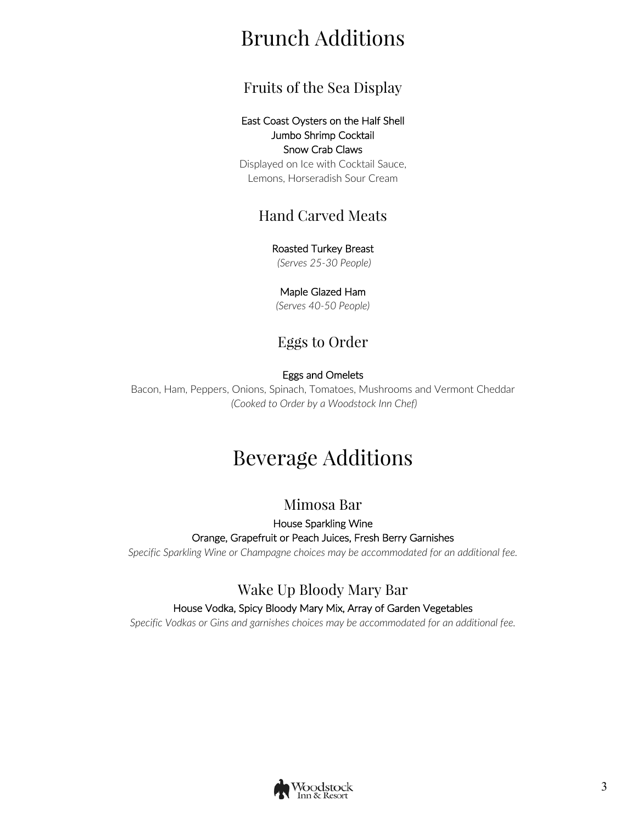# Brunch Additions

## Fruits of the Sea Display

#### East Coast Oysters on the Half Shell Jumbo Shrimp Cocktail Snow Crab Claws

Displayed on Ice with Cocktail Sauce, Lemons, Horseradish Sour Cream

## Hand Carved Meats

#### Roasted Turkey Breast

*(Serves 25-30 People)*

#### Maple Glazed Ham

*(Serves 40-50 People)*

## Eggs to Order

#### Eggs and Omelets

Bacon, Ham, Peppers, Onions, Spinach, Tomatoes, Mushrooms and Vermont Cheddar *(Cooked to Order by a Woodstock Inn Chef)*

# Beverage Additions

## Mimosa Bar

### House Sparkling Wine Orange, Grapefruit or Peach Juices, Fresh Berry Garnishes

*Specific Sparkling Wine or Champagne choices may be accommodated for an additional fee.*

## Wake Up Bloody Mary Bar

#### House Vodka, Spicy Bloody Mary Mix, Array of Garden Vegetables

*Specific Vodkas or Gins and garnishes choices may be accommodated for an additional fee.*

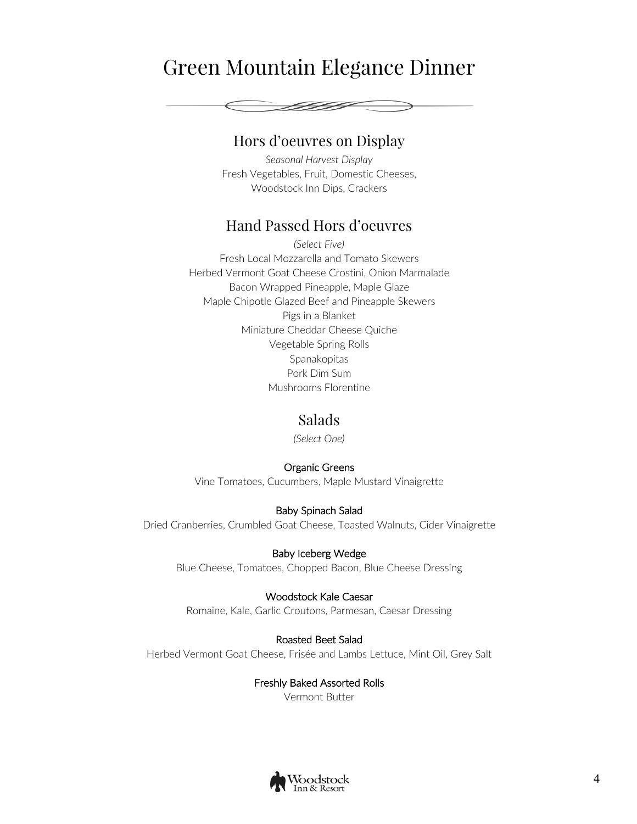## Green Mountain Elegance Dinner



### Hors d'oeuvres on Display

*Seasonal Harvest Display* Fresh Vegetables, Fruit, Domestic Cheeses, Woodstock Inn Dips, Crackers

## Hand Passed Hors d'oeuvres

*(Select Five)* Fresh Local Mozzarella and Tomato Skewers Herbed Vermont Goat Cheese Crostini, Onion Marmalade Bacon Wrapped Pineapple, Maple Glaze Maple Chipotle Glazed Beef and Pineapple Skewers Pigs in a Blanket Miniature Cheddar Cheese Quiche Vegetable Spring Rolls Spanakopitas Pork Dim Sum Mushrooms Florentine

## Salads

*(Select One)*

#### Organic Greens

Vine Tomatoes, Cucumbers, Maple Mustard Vinaigrette

Baby Spinach Salad Dried Cranberries, Crumbled Goat Cheese, Toasted Walnuts, Cider Vinaigrette

Baby Iceberg Wedge Blue Cheese, Tomatoes, Chopped Bacon, Blue Cheese Dressing

#### Woodstock Kale Caesar

Romaine, Kale, Garlic Croutons, Parmesan, Caesar Dressing

#### Roasted Beet Salad

Herbed Vermont Goat Cheese, Frisée and Lambs Lettuce, Mint Oil, Grey Salt

Freshly Baked Assorted Rolls Vermont Butter

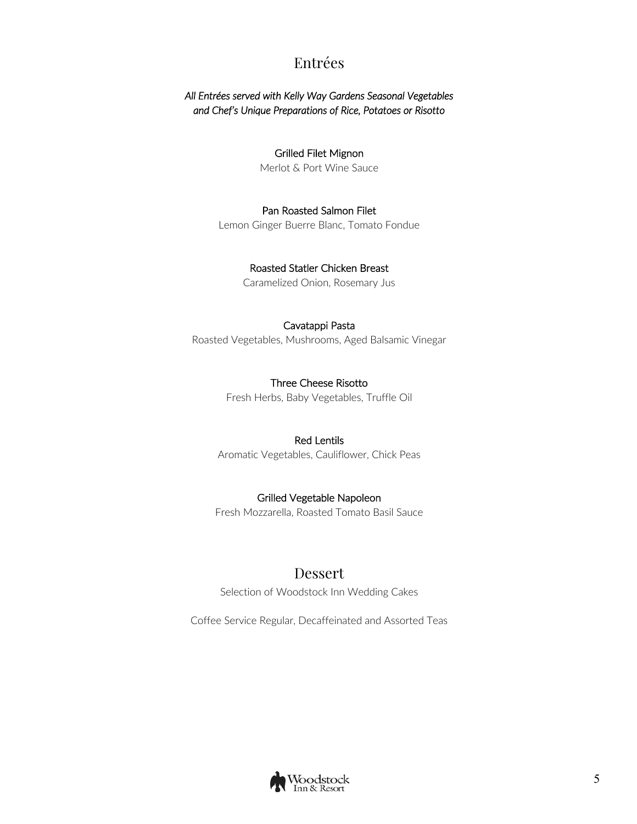## Entrées

#### *All Entrées served with Kelly Way Gardens Seasonal Vegetables and Chef's Unique Preparations of Rice, Potatoes or Risotto*

#### Grilled Filet Mignon

Merlot & Port Wine Sauce

#### Pan Roasted Salmon Filet

Lemon Ginger Buerre Blanc, Tomato Fondue

#### Roasted Statler Chicken Breast

Caramelized Onion, Rosemary Jus

#### Cavatappi Pasta

Roasted Vegetables, Mushrooms, Aged Balsamic Vinegar

#### Three Cheese Risotto

Fresh Herbs, Baby Vegetables, Truffle Oil

#### Red Lentils

Aromatic Vegetables, Cauliflower, Chick Peas

#### Grilled Vegetable Napoleon

Fresh Mozzarella, Roasted Tomato Basil Sauce

## Dessert

Selection of Woodstock Inn Wedding Cakes

Coffee Service Regular, Decaffeinated and Assorted Teas

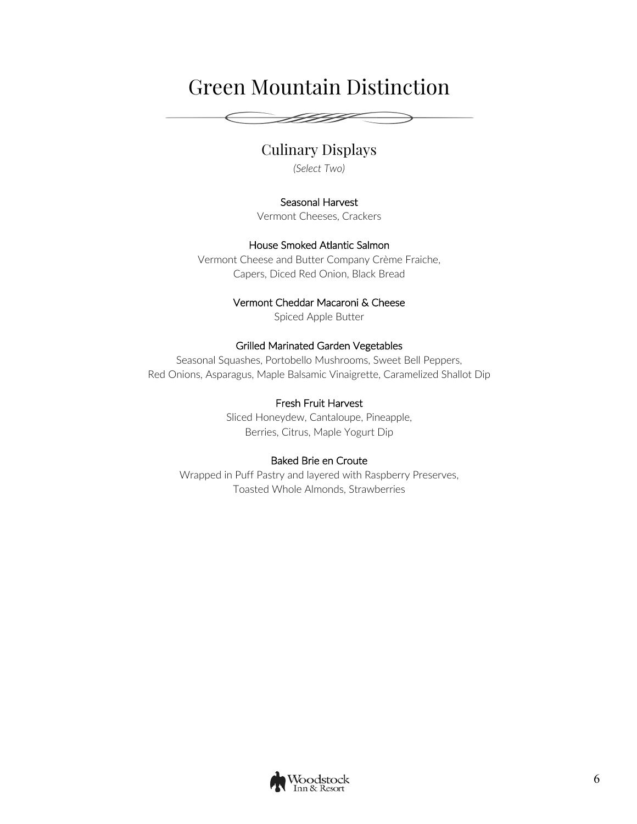# Green Mountain Distinction

FIFIF

## Culinary Displays

*(Select Two)*

#### Seasonal Harvest

Vermont Cheeses, Crackers

#### House Smoked Atlantic Salmon

Vermont Cheese and Butter Company Crème Fraiche, Capers, Diced Red Onion, Black Bread

#### Vermont Cheddar Macaroni & Cheese

Spiced Apple Butter

#### Grilled Marinated Garden Vegetables

Seasonal Squashes, Portobello Mushrooms, Sweet Bell Peppers, Red Onions, Asparagus, Maple Balsamic Vinaigrette, Caramelized Shallot Dip

#### Fresh Fruit Harvest

Sliced Honeydew, Cantaloupe, Pineapple, Berries, Citrus, Maple Yogurt Dip

#### Baked Brie en Croute

Wrapped in Puff Pastry and layered with Raspberry Preserves, Toasted Whole Almonds, Strawberries

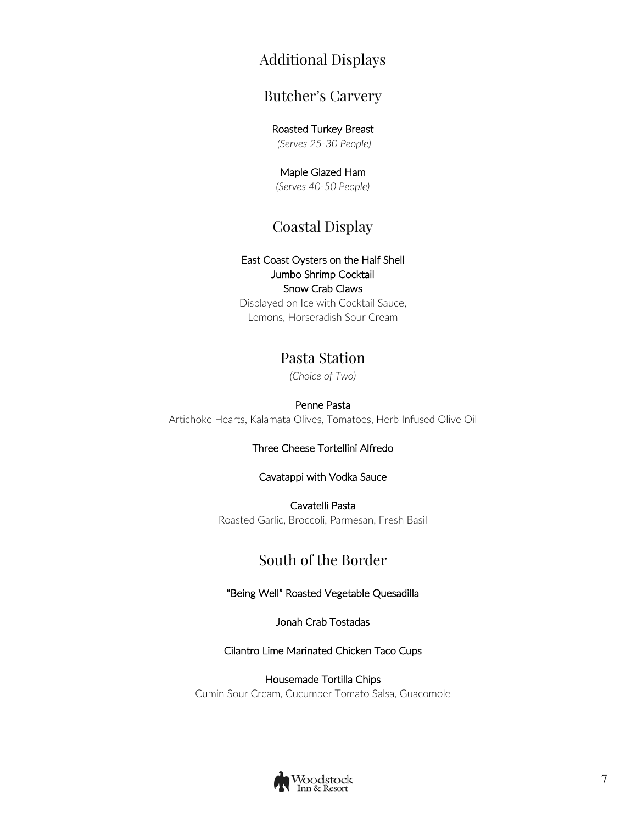## Additional Displays

## Butcher's Carvery

#### Roasted Turkey Breast

*(Serves 25-30 People)* 

#### Maple Glazed Ham *(Serves 40-50 People)*

## Coastal Display

#### East Coast Oysters on the Half Shell Jumbo Shrimp Cocktail Snow Crab Claws

Displayed on Ice with Cocktail Sauce, Lemons, Horseradish Sour Cream

## Pasta Station

*(Choice of Two)*

#### Penne Pasta

Artichoke Hearts, Kalamata Olives, Tomatoes, Herb Infused Olive Oil

#### Three Cheese Tortellini Alfredo

#### Cavatappi with Vodka Sauce

Cavatelli Pasta Roasted Garlic, Broccoli, Parmesan, Fresh Basil

## South of the Border

#### "Being Well" Roasted Vegetable Quesadilla

Jonah Crab Tostadas

#### Cilantro Lime Marinated Chicken Taco Cups

Housemade Tortilla Chips Cumin Sour Cream, Cucumber Tomato Salsa, Guacomole

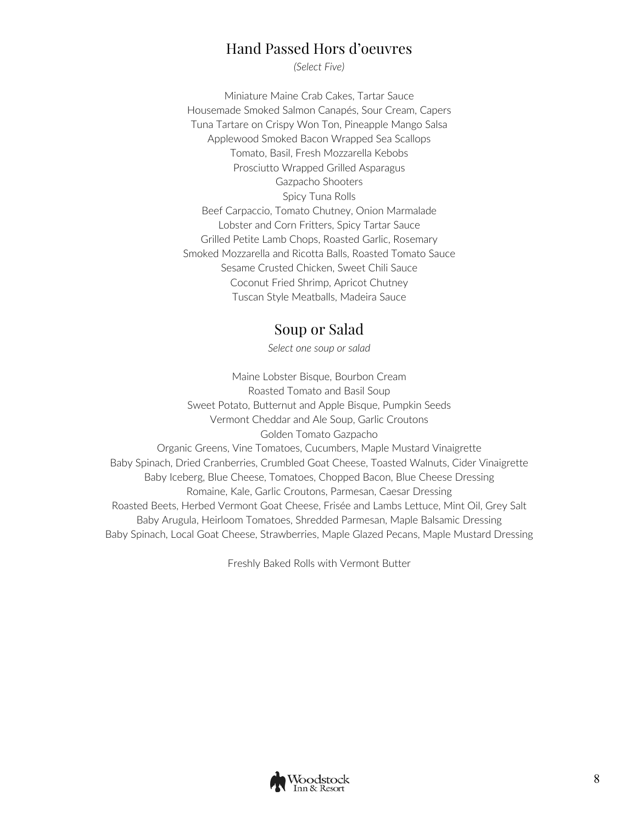## Hand Passed Hors d'oeuvres

*(Select Five)*

Miniature Maine Crab Cakes, Tartar Sauce Housemade Smoked Salmon Canapés, Sour Cream, Capers Tuna Tartare on Crispy Won Ton, Pineapple Mango Salsa Applewood Smoked Bacon Wrapped Sea Scallops Tomato, Basil, Fresh Mozzarella Kebobs Prosciutto Wrapped Grilled Asparagus Gazpacho Shooters Spicy Tuna Rolls Beef Carpaccio, Tomato Chutney, Onion Marmalade Lobster and Corn Fritters, Spicy Tartar Sauce Grilled Petite Lamb Chops, Roasted Garlic, Rosemary Smoked Mozzarella and Ricotta Balls, Roasted Tomato Sauce Sesame Crusted Chicken, Sweet Chili Sauce Coconut Fried Shrimp, Apricot Chutney Tuscan Style Meatballs, Madeira Sauce

## Soup or Salad

*Select one soup or salad*

Maine Lobster Bisque, Bourbon Cream Roasted Tomato and Basil Soup Sweet Potato, Butternut and Apple Bisque, Pumpkin Seeds Vermont Cheddar and Ale Soup, Garlic Croutons Golden Tomato Gazpacho Organic Greens, Vine Tomatoes, Cucumbers, Maple Mustard Vinaigrette Baby Spinach, Dried Cranberries, Crumbled Goat Cheese, Toasted Walnuts, Cider Vinaigrette Baby Iceberg, Blue Cheese, Tomatoes, Chopped Bacon, Blue Cheese Dressing Romaine, Kale, Garlic Croutons, Parmesan, Caesar Dressing Roasted Beets, Herbed Vermont Goat Cheese, Frisée and Lambs Lettuce, Mint Oil, Grey Salt Baby Arugula, Heirloom Tomatoes, Shredded Parmesan, Maple Balsamic Dressing Baby Spinach, Local Goat Cheese, Strawberries, Maple Glazed Pecans, Maple Mustard Dressing

Freshly Baked Rolls with Vermont Butter

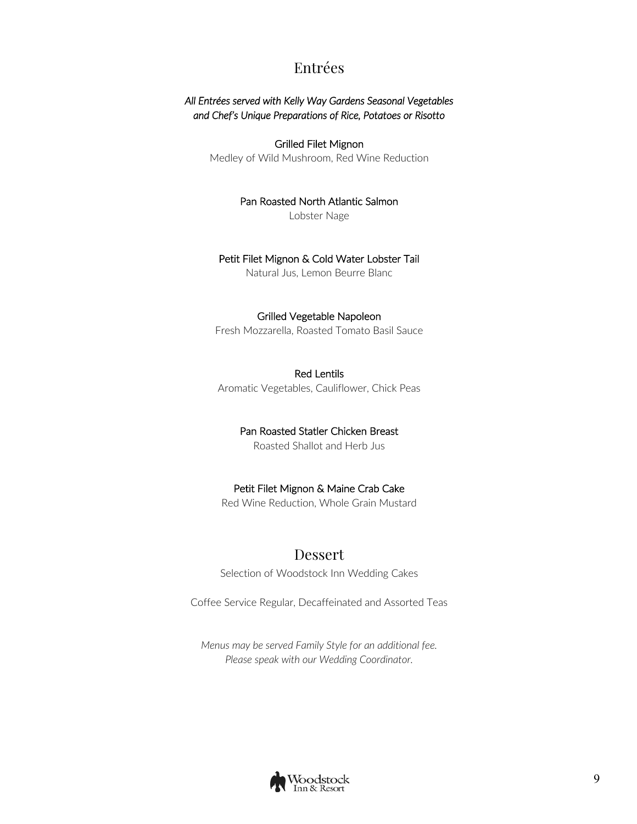## Entrées

#### *All Entrées served with Kelly Way Gardens Seasonal Vegetables and Chef's Unique Preparations of Rice, Potatoes or Risotto*

Grilled Filet Mignon Medley of Wild Mushroom, Red Wine Reduction

Pan Roasted North Atlantic Salmon

Lobster Nage

#### Petit Filet Mignon & Cold Water Lobster Tail

Natural Jus, Lemon Beurre Blanc

#### Grilled Vegetable Napoleon

Fresh Mozzarella, Roasted Tomato Basil Sauce

#### Red Lentils

Aromatic Vegetables, Cauliflower, Chick Peas

#### Pan Roasted Statler Chicken Breast

Roasted Shallot and Herb Jus

#### Petit Filet Mignon & Maine Crab Cake

Red Wine Reduction, Whole Grain Mustard

#### Dessert

Selection of Woodstock Inn Wedding Cakes

Coffee Service Regular, Decaffeinated and Assorted Teas

*Menus may be served Family Style for an additional fee. Please speak with our Wedding Coordinator.*

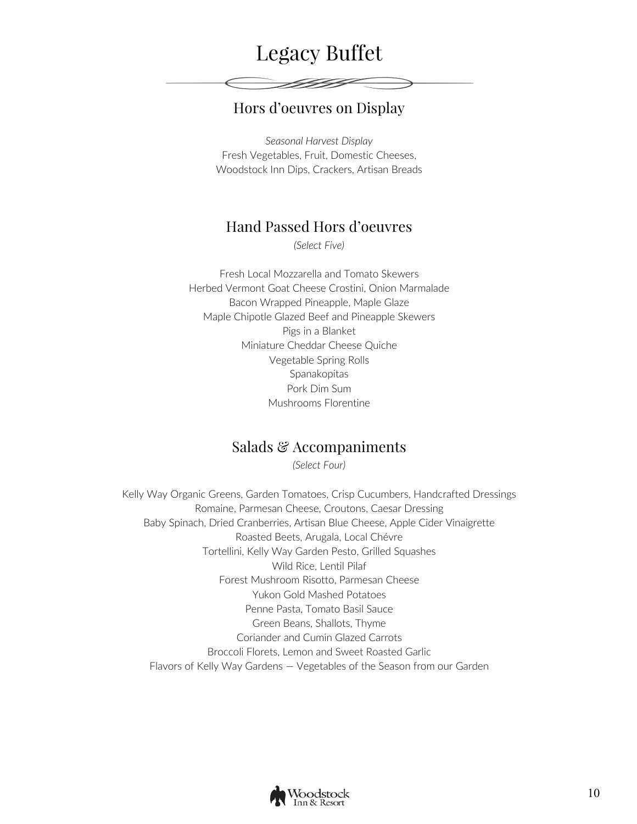## Legacy Buffet

## Hors d'oeuvres on Display

 $\begin{picture}(42,14) \put(0,0){\vector(1,0){10}} \put(1,0){\vector(1,0){10}} \put(1,0){\vector(1,0){10}} \put(1,0){\vector(1,0){10}} \put(1,0){\vector(1,0){10}} \put(1,0){\vector(1,0){10}} \put(1,0){\vector(1,0){10}} \put(1,0){\vector(1,0){10}} \put(1,0){\vector(1,0){10}} \put(1,0){\vector(1,0){10}} \put(1,0){\vector(1,0){10}} \put(1,0){\vector(1,0){10}} \put(1,$ 

*Seasonal Harvest Display* Fresh Vegetables, Fruit, Domestic Cheeses, Woodstock Inn Dips, Crackers, Artisan Breads

## Hand Passed Hors d'oeuvres

*(Select Five)*

Fresh Local Mozzarella and Tomato Skewers Herbed Vermont Goat Cheese Crostini, Onion Marmalade Bacon Wrapped Pineapple, Maple Glaze Maple Chipotle Glazed Beef and Pineapple Skewers Pigs in a Blanket Miniature Cheddar Cheese Quiche Vegetable Spring Rolls Spanakopitas Pork Dim Sum Mushrooms Florentine

### Salads & Accompaniments

*(Select Four)*

Kelly Way Organic Greens, Garden Tomatoes, Crisp Cucumbers, Handcrafted Dressings Romaine, Parmesan Cheese, Croutons, Caesar Dressing Baby Spinach, Dried Cranberries, Artisan Blue Cheese, Apple Cider Vinaigrette Roasted Beets, Arugala, Local Chévre Tortellini, Kelly Way Garden Pesto, Grilled Squashes Wild Rice, Lentil Pilaf Forest Mushroom Risotto, Parmesan Cheese Yukon Gold Mashed Potatoes Penne Pasta, Tomato Basil Sauce Green Beans, Shallots, Thyme Coriander and Cumin Glazed Carrots Broccoli Florets, Lemon and Sweet Roasted Garlic Flavors of Kelly Way Gardens — Vegetables of the Season from our Garden

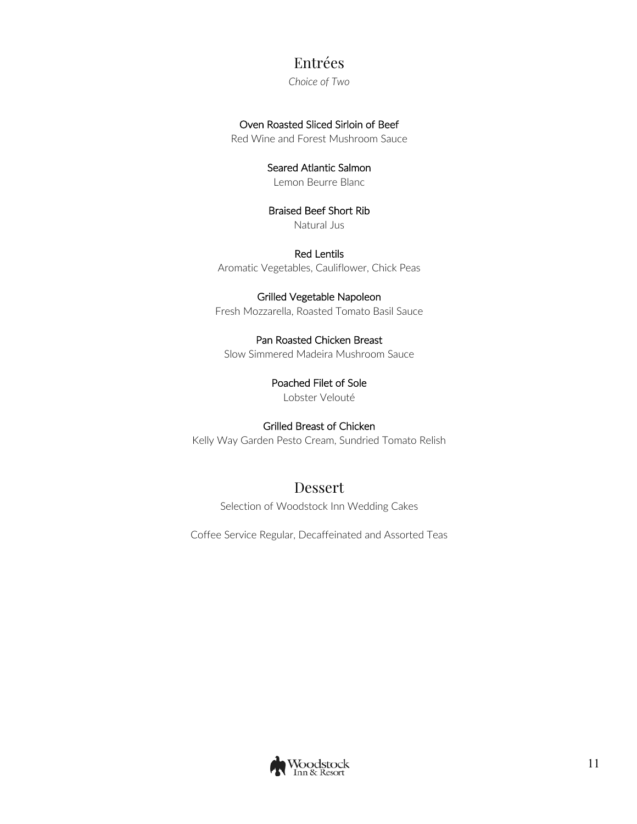## Entrées

*Choice of Two*

#### Oven Roasted Sliced Sirloin of Beef

Red Wine and Forest Mushroom Sauce

#### Seared Atlantic Salmon

Lemon Beurre Blanc

### Braised Beef Short Rib

Natural Jus

Red Lentils Aromatic Vegetables, Cauliflower, Chick Peas

#### Grilled Vegetable Napoleon

Fresh Mozzarella, Roasted Tomato Basil Sauce

#### Pan Roasted Chicken Breast

Slow Simmered Madeira Mushroom Sauce

#### Poached Filet of Sole

Lobster Velouté

#### Grilled Breast of Chicken

Kelly Way Garden Pesto Cream, Sundried Tomato Relish

## Dessert

Selection of Woodstock Inn Wedding Cakes

Coffee Service Regular, Decaffeinated and Assorted Teas

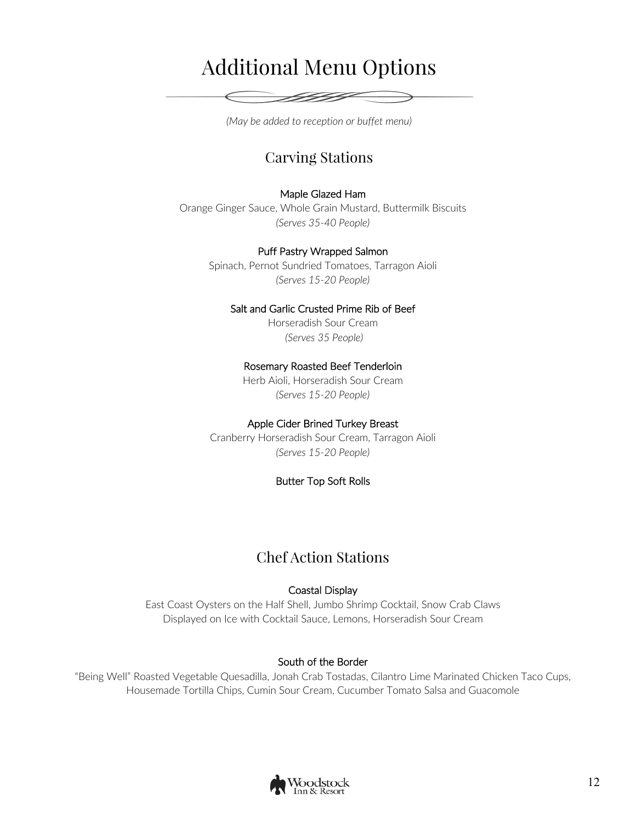# Additional Menu Options

*(May be added to reception or buffet menu)*

## Carving Stations

#### Maple Glazed Ham

Orange Ginger Sauce, Whole Grain Mustard, Buttermilk Biscuits *(Serves 35-40 People)* 

#### Puff Pastry Wrapped Salmon

Spinach, Pernot Sundried Tomatoes, Tarragon Aioli *(Serves 15-20 People)* 

#### Salt and Garlic Crusted Prime Rib of Beef

Horseradish Sour Cream *(Serves 35 People)* 

#### Rosemary Roasted Beef Tenderloin

Herb Aioli, Horseradish Sour Cream *(Serves 15-20 People)* 

#### Apple Cider Brined Turkey Breast

Cranberry Horseradish Sour Cream, Tarragon Aioli *(Serves 15-20 People)* 

#### Butter Top Soft Rolls

## Chef Action Stations

#### Coastal Display

East Coast Oysters on the Half Shell, Jumbo Shrimp Cocktail, Snow Crab Claws Displayed on Ice with Cocktail Sauce, Lemons, Horseradish Sour Cream

#### South of the Border

"Being Well" Roasted Vegetable Quesadilla, Jonah Crab Tostadas, Cilantro Lime Marinated Chicken Taco Cups, Housemade Tortilla Chips, Cumin Sour Cream, Cucumber Tomato Salsa and Guacomole

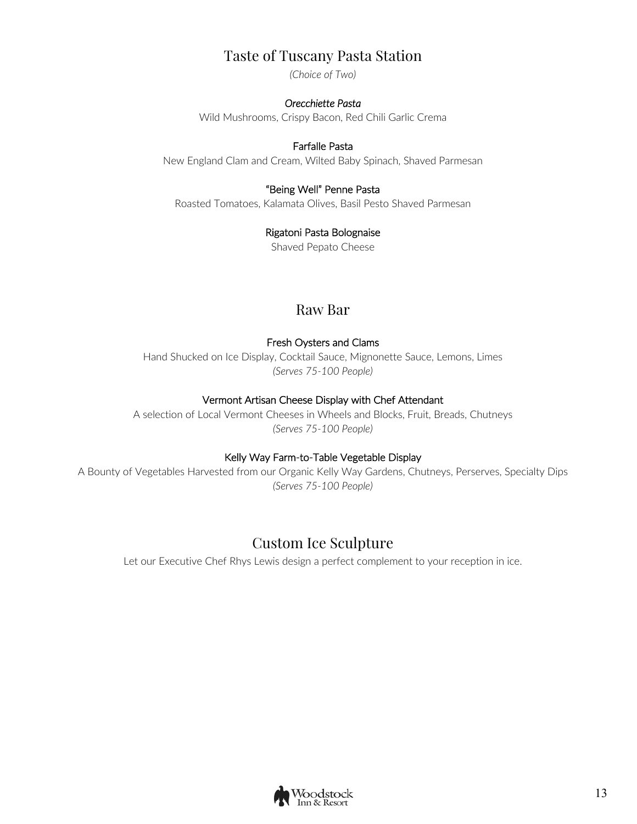## Taste of Tuscany Pasta Station

*(Choice of Two)*

#### *Orecchiette Pasta*

Wild Mushrooms, Crispy Bacon, Red Chili Garlic Crema

#### Farfalle Pasta

New England Clam and Cream, Wilted Baby Spinach, Shaved Parmesan

#### "Being Well" Penne Pasta

Roasted Tomatoes, Kalamata Olives, Basil Pesto Shaved Parmesan

#### Rigatoni Pasta Bolognaise

Shaved Pepato Cheese

## Raw Bar

#### Fresh Oysters and Clams

Hand Shucked on Ice Display, Cocktail Sauce, Mignonette Sauce, Lemons, Limes *(Serves 75-100 People)*

#### Vermont Artisan Cheese Display with Chef Attendant

A selection of Local Vermont Cheeses in Wheels and Blocks, Fruit, Breads, Chutneys *(Serves 75-100 People)* 

#### Kelly Way Farm-to-Table Vegetable Display

A Bounty of Vegetables Harvested from our Organic Kelly Way Gardens, Chutneys, Perserves, Specialty Dips *(Serves 75-100 People)*

## Custom Ice Sculpture

Let our Executive Chef Rhys Lewis design a perfect complement to your reception in ice.

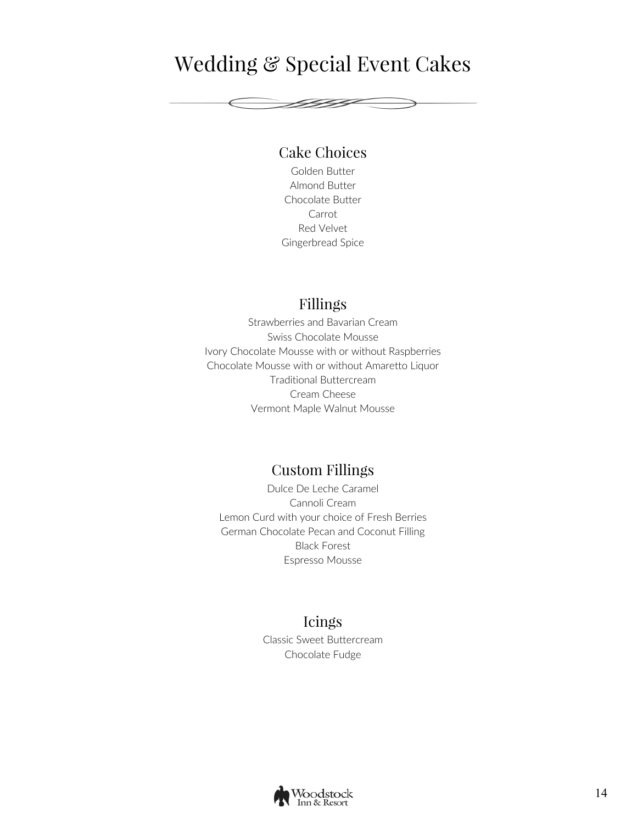## Wedding & Special Event Cakes

FIFIF

## Cake Choices

Golden Butter Almond Butter Chocolate Butter Carrot Red Velvet Gingerbread Spice

## Fillings

Strawberries and Bavarian Cream Swiss Chocolate Mousse Ivory Chocolate Mousse with or without Raspberries Chocolate Mousse with or without Amaretto Liquor Traditional Buttercream Cream Cheese Vermont Maple Walnut Mousse

## Custom Fillings

Dulce De Leche Caramel Cannoli Cream Lemon Curd with your choice of Fresh Berries German Chocolate Pecan and Coconut Filling Black Forest Espresso Mousse

### Icings

Classic Sweet Buttercream Chocolate Fudge

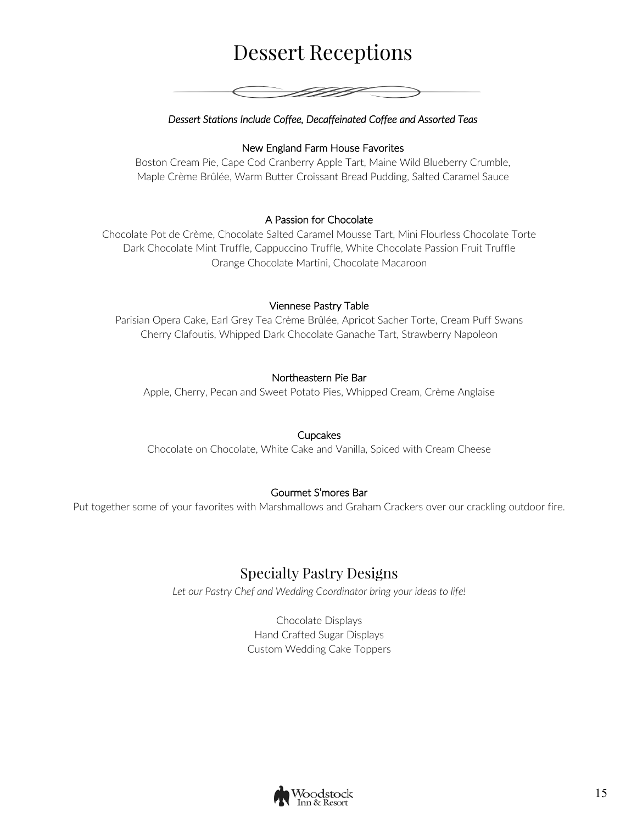# Dessert Receptions



#### *Dessert Stations Include Coffee, Decaffeinated Coffee and Assorted Teas*

#### New England Farm House Favorites

Boston Cream Pie, Cape Cod Cranberry Apple Tart, Maine Wild Blueberry Crumble, Maple Crème Brûlée, Warm Butter Croissant Bread Pudding, Salted Caramel Sauce

#### A Passion for Chocolate

Chocolate Pot de Crème, Chocolate Salted Caramel Mousse Tart, Mini Flourless Chocolate Torte Dark Chocolate Mint Truffle, Cappuccino Truffle, White Chocolate Passion Fruit Truffle Orange Chocolate Martini, Chocolate Macaroon

#### Viennese Pastry Table

Parisian Opera Cake, Earl Grey Tea Crème Brûlée, Apricot Sacher Torte, Cream Puff Swans Cherry Clafoutis, Whipped Dark Chocolate Ganache Tart, Strawberry Napoleon

#### Northeastern Pie Bar

Apple, Cherry, Pecan and Sweet Potato Pies, Whipped Cream, Crème Anglaise

#### **Cupcakes**

Chocolate on Chocolate, White Cake and Vanilla, Spiced with Cream Cheese

#### Gourmet S'mores Bar

Put together some of your favorites with Marshmallows and Graham Crackers over our crackling outdoor fire.

## Specialty Pastry Designs

*Let our Pastry Chef and Wedding Coordinator bring your ideas to life!*

Chocolate Displays Hand Crafted Sugar Displays Custom Wedding Cake Toppers

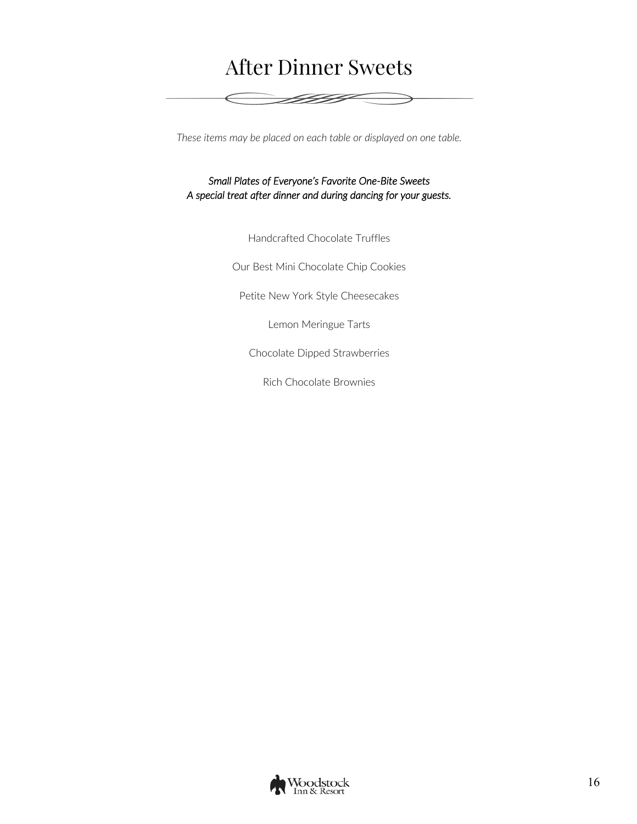## After Dinner Sweets

<del>e 1999</del>

*These items may be placed on each table or displayed on one table.*

*Small Plates of Everyone's Favorite One-Bite Sweets A special treat after dinner and during dancing for your guests.* 

Handcrafted Chocolate Truffles

Our Best Mini Chocolate Chip Cookies

Petite New York Style Cheesecakes

Lemon Meringue Tarts

Chocolate Dipped Strawberries

Rich Chocolate Brownies

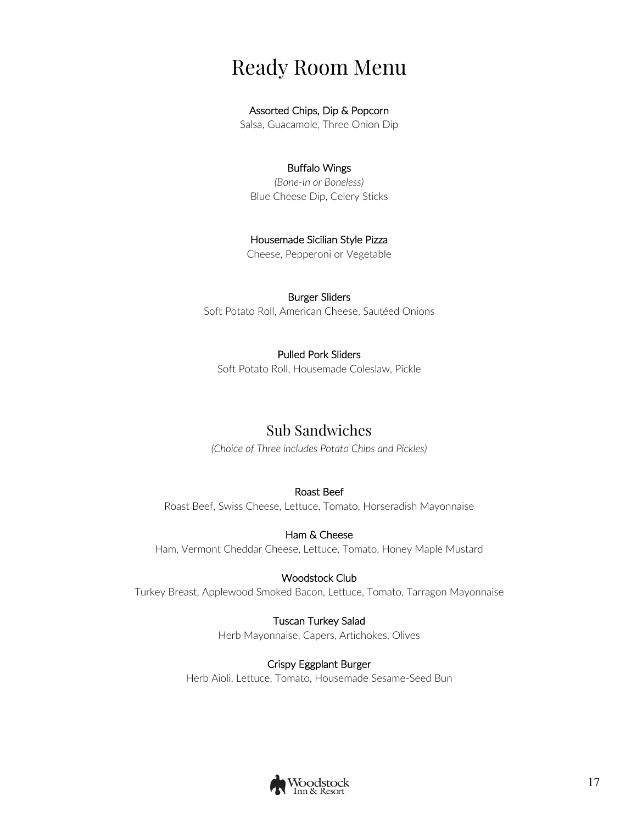## Ready Room Menu

#### Assorted Chips, Dip & Popcorn

Salsa, Guacamole, Three Onion Dip

#### Buffalo Wings

*(Bone-In or Boneless)* Blue Cheese Dip, Celery Sticks

#### Housemade Sicilian Style Pizza

Cheese, Pepperoni or Vegetable

#### Burger Sliders

Soft Potato Roll, American Cheese, Sautéed Onions

#### Pulled Pork Sliders

Soft Potato Roll, Housemade Coleslaw, Pickle

## Sub Sandwiches

*(Choice of Three includes Potato Chips and Pickles)*

#### Roast Beef

Roast Beef, Swiss Cheese, Lettuce, Tomato, Horseradish Mayonnaise

#### Ham & Cheese

Ham, Vermont Cheddar Cheese, Lettuce, Tomato, Honey Maple Mustard

#### Woodstock Club

Turkey Breast, Applewood Smoked Bacon, Lettuce, Tomato, Tarragon Mayonnaise

#### Tuscan Turkey Salad

Herb Mayonnaise, Capers, Artichokes, Olives

#### Crispy Eggplant Burger

Herb Aioli, Lettuce, Tomato, Housemade Sesame-Seed Bun

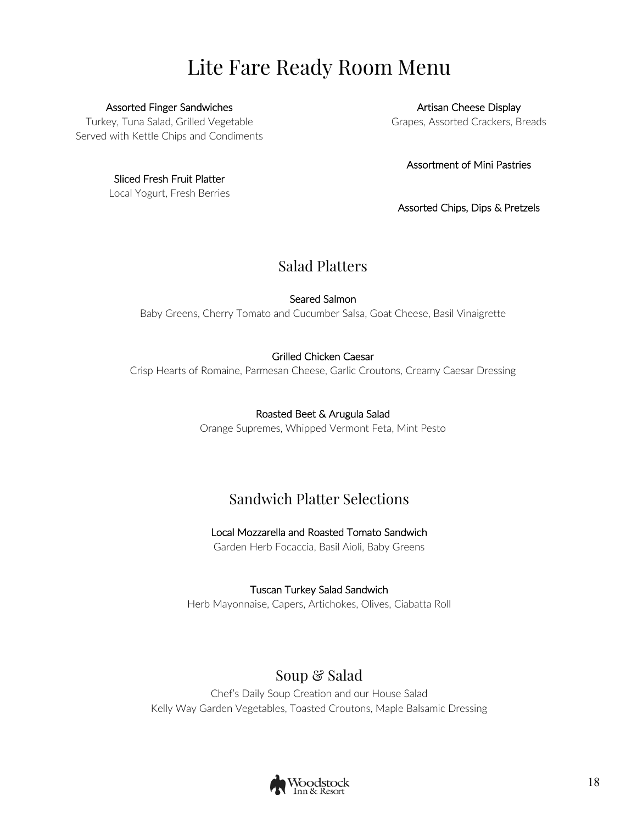# Lite Fare Ready Room Menu

Assorted Finger Sandwiches Turkey, Tuna Salad, Grilled Vegetable

Served with Kettle Chips and Condiments

Sliced Fresh Fruit Platter Local Yogurt, Fresh Berries

Artisan Cheese Display Grapes, Assorted Crackers, Breads

Assortment of Mini Pastries

Assorted Chips, Dips & Pretzels

## Salad Platters

Seared Salmon

Baby Greens, Cherry Tomato and Cucumber Salsa, Goat Cheese, Basil Vinaigrette

#### Grilled Chicken Caesar

Crisp Hearts of Romaine, Parmesan Cheese, Garlic Croutons, Creamy Caesar Dressing

#### Roasted Beet & Arugula Salad

Orange Supremes, Whipped Vermont Feta, Mint Pesto

## Sandwich Platter Selections

#### Local Mozzarella and Roasted Tomato Sandwich

Garden Herb Focaccia, Basil Aioli, Baby Greens

#### Tuscan Turkey Salad Sandwich

Herb Mayonnaise, Capers, Artichokes, Olives, Ciabatta Roll

## Soup & Salad

Chef's Daily Soup Creation and our House Salad Kelly Way Garden Vegetables, Toasted Croutons, Maple Balsamic Dressing

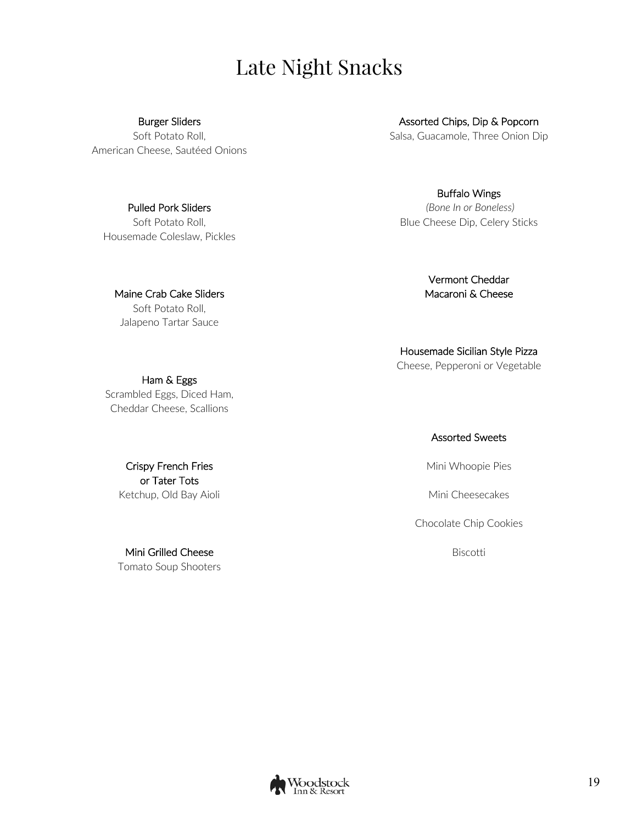# Late Night Snacks

#### Burger Sliders

Soft Potato Roll, American Cheese, Sautéed Onions

Pulled Pork Sliders Soft Potato Roll, Housemade Coleslaw, Pickles

Maine Crab Cake Sliders Soft Potato Roll, Jalapeno Tartar Sauce

Ham & Eggs Scrambled Eggs, Diced Ham, Cheddar Cheese, Scallions

> Crispy French Fries or Tater Tots Ketchup, Old Bay Aioli

Mini Grilled Cheese Tomato Soup Shooters

Assorted Chips, Dip & Popcorn Salsa, Guacamole, Three Onion Dip

Buffalo Wings *(Bone In or Boneless)* Blue Cheese Dip, Celery Sticks

> Vermont Cheddar Macaroni & Cheese

Housemade Sicilian Style Pizza Cheese, Pepperoni or Vegetable

Assorted Sweets

Mini Whoopie Pies

Mini Cheesecakes

Chocolate Chip Cookies

Biscotti

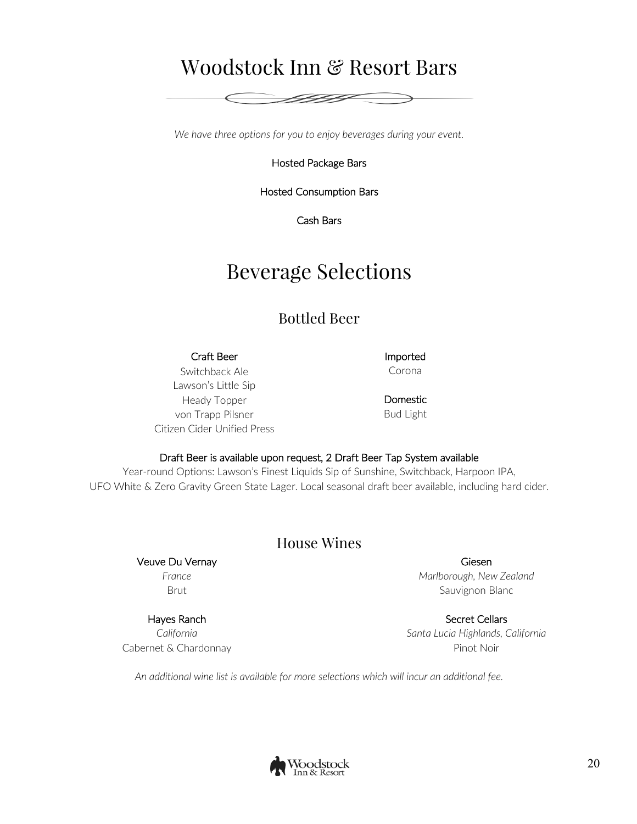## Woodstock Inn & Resort Bars

FIFI

*We have three options for you to enjoy beverages during your event.*

Hosted Package Bars

Hosted Consumption Bars

Cash Bars

## Beverage Selections

## Bottled Beer

#### Craft Beer **Imported** Switchback Ale

Corona

Lawson's Little Sip Heady Topper von Trapp Pilsner Citizen Cider Unified Press

Domestic Bud Light

#### Draft Beer is available upon request, 2 Draft Beer Tap System available

Year-round Options: Lawson's Finest Liquids Sip of Sunshine, Switchback, Harpoon IPA, UFO White & Zero Gravity Green State Lager. Local seasonal draft beer available, including hard cider.

#### House Wines

Veuve Du Vernay *France* Brut

#### Hayes Ranch

*California* Cabernet & Chardonnay

Giesen *Marlborough, New Zealand* Sauvignon Blanc

Secret Cellars *Santa Lucia Highlands, California* Pinot Noir

*An additional wine list is available for more selections which will incur an additional fee.*